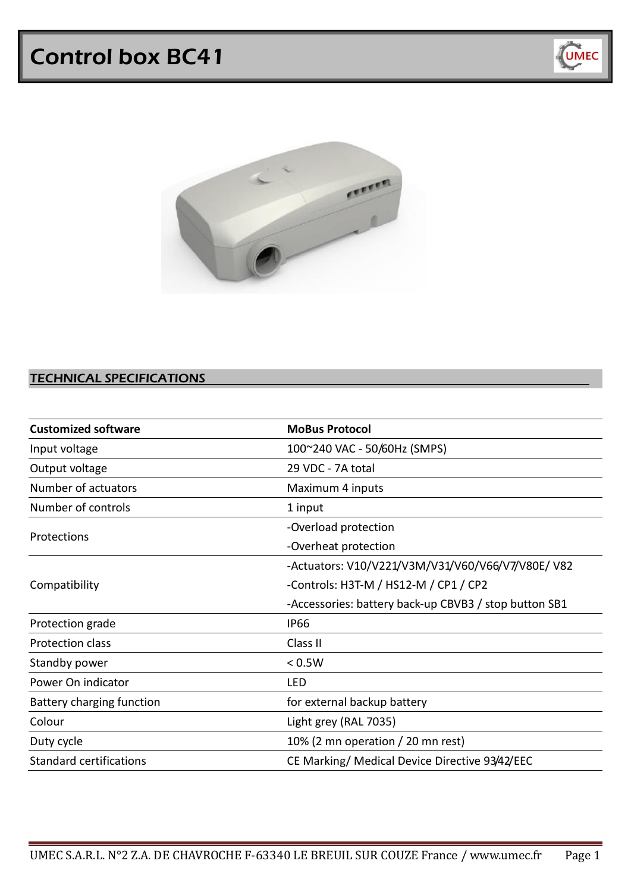# Control box BC41





## TECHNICAL SPECIFICATIONS

| <b>Customized software</b>     | <b>MoBus Protocol</b>                                 |
|--------------------------------|-------------------------------------------------------|
| Input voltage                  | 100~240 VAC - 50/60Hz (SMPS)                          |
| Output voltage                 | 29 VDC - 7A total                                     |
| Number of actuators            | Maximum 4 inputs                                      |
| Number of controls             | 1 input                                               |
| Protections                    | -Overload protection                                  |
|                                | -Overheat protection                                  |
| Compatibility                  | -Actuators: V10/V221/V3M/V31/V60/V66/V7/V80E/V82      |
|                                | -Controls: H3T-M / HS12-M / CP1 / CP2                 |
|                                | -Accessories: battery back-up CBVB3 / stop button SB1 |
| Protection grade               | <b>IP66</b>                                           |
| Protection class               | Class II                                              |
| Standby power                  | < 0.5W                                                |
| Power On indicator             | LED                                                   |
| Battery charging function      | for external backup battery                           |
| Colour                         | Light grey (RAL 7035)                                 |
| Duty cycle                     | 10% (2 mn operation $/$ 20 mn rest)                   |
| <b>Standard certifications</b> | CE Marking/ Medical Device Directive 93/42/EEC        |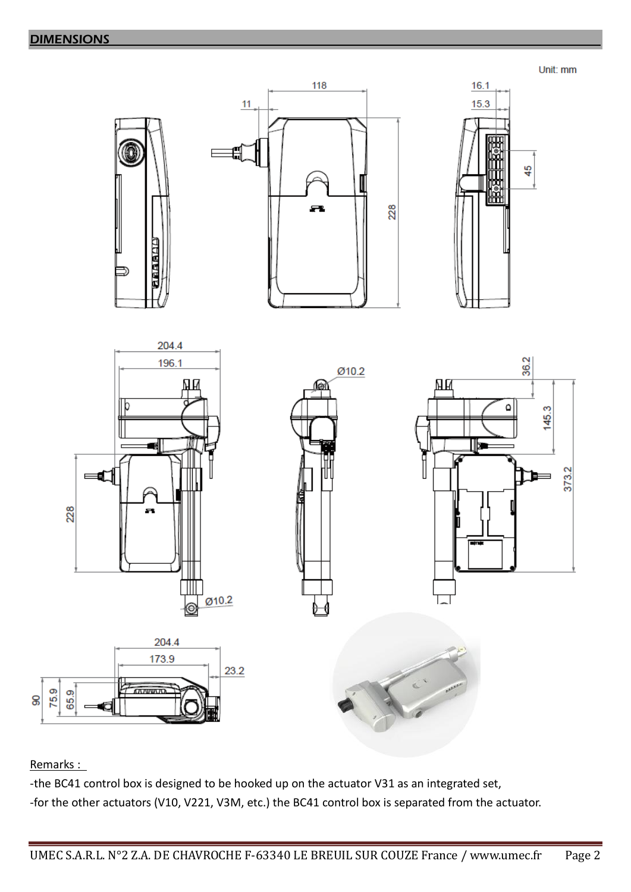**DIMENSIONS** 

Unit: mm



# Remarks :

Ձ

-the BC41 control box is designed to be hooked up on the actuator V31 as an integrated set, -for the other actuators (V10, V221, V3M, etc.) the BC41 control box is separated from the actuator.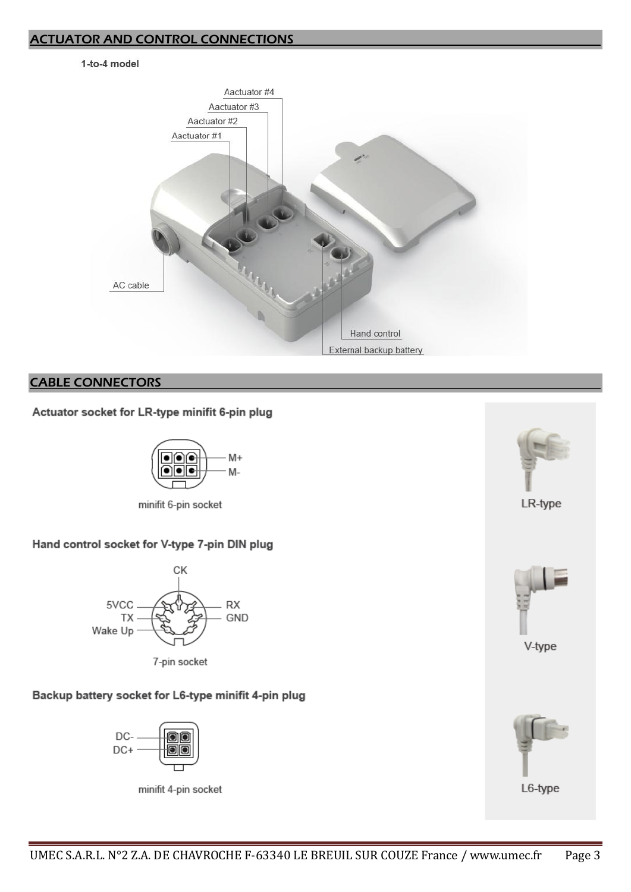#### ACTUATOR AND CONTROL CONNECTIONS

#### 1-to-4 model



## CABLE CONNECTORS

## Actuator socket for LR-type minifit 6-pin plug



minifit 6-pin socket

## Hand control socket for V-type 7-pin DIN plug



7-pin socket

## Backup battery socket for L6-type minifit 4-pin plug



minifit 4-pin socket